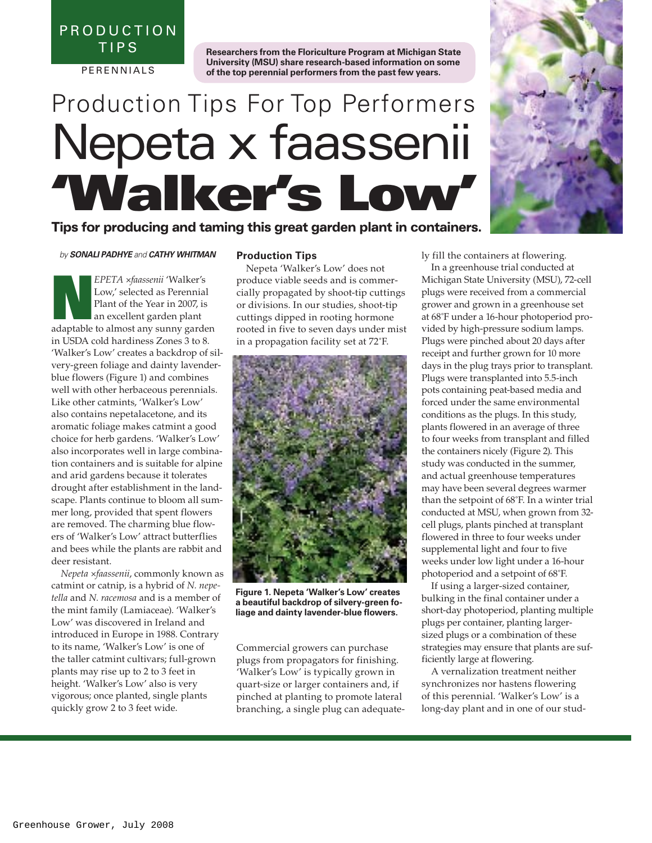P R O D U C T I O N TIPS

**PERENNIALS** 

**Researchers from the Floriculture Program at Michigan State University (MSU) share research-based information on some of the top perennial performers from the past few years.**

# Production Tips For Top Performers Nepeta x faassenii **'Walker's Low'**

**Tips for producing and taming this great garden plant in containers.** 

#### *by SONALI PADHYE and CATHY WHITMAN*

EPETA *×faassenii* 'Walker's<br>Low,' selected as Perennial<br>Plant of the Year in 2007, is<br>an excellent garden plant Low,' selected as Perennial Plant of the Year in 2007, is an excellent garden plant adaptable to almost any sunny garden in USDA cold hardiness Zones 3 to 8. 'Walker's Low' creates a backdrop of silvery-green foliage and dainty lavenderblue flowers (Figure 1) and combines well with other herbaceous perennials. Like other catmints, 'Walker's Low' also contains nepetalacetone, and its aromatic foliage makes catmint a good choice for herb gardens. 'Walker's Low' also incorporates well in large combination containers and is suitable for alpine and arid gardens because it tolerates drought after establishment in the landscape. Plants continue to bloom all summer long, provided that spent flowers are removed. The charming blue flowers of 'Walker's Low' attract butterflies and bees while the plants are rabbit and deer resistant.

*Nepeta ×faassenii*, commonly known as catmint or catnip, is a hybrid of *N. nepetella* and *N. racemosa* and is a member of the mint family (Lamiaceae). 'Walker's Low' was discovered in Ireland and introduced in Europe in 1988. Contrary to its name, 'Walker's Low' is one of the taller catmint cultivars; full-grown plants may rise up to 2 to 3 feet in height. 'Walker's Low' also is very vigorous; once planted, single plants quickly grow 2 to 3 feet wide.

#### **Production Tips**

Nepeta 'Walker's Low' does not produce viable seeds and is commercially propagated by shoot-tip cuttings or divisions. In our studies, shoot-tip cuttings dipped in rooting hormone rooted in five to seven days under mist in a propagation facility set at 72˚F.



**Figure 1. Nepeta 'Walker's Low' creates a beautiful backdrop of silvery-green foliage and dainty lavender-blue flowers.**

Commercial growers can purchase plugs from propagators for finishing. 'Walker's Low' is typically grown in quart-size or larger containers and, if pinched at planting to promote lateral branching, a single plug can adequately fill the containers at flowering.

In a greenhouse trial conducted at Michigan State University (MSU), 72-cell plugs were received from a commercial grower and grown in a greenhouse set at 68˚F under a 16-hour photoperiod provided by high-pressure sodium lamps. Plugs were pinched about 20 days after receipt and further grown for 10 more days in the plug trays prior to transplant. Plugs were transplanted into 5.5-inch pots containing peat-based media and forced under the same environmental conditions as the plugs. In this study, plants flowered in an average of three to four weeks from transplant and filled the containers nicely (Figure 2). This study was conducted in the summer, and actual greenhouse temperatures may have been several degrees warmer than the setpoint of 68˚F. In a winter trial conducted at MSU, when grown from 32 cell plugs, plants pinched at transplant flowered in three to four weeks under supplemental light and four to five weeks under low light under a 16-hour photoperiod and a setpoint of 68˚F.

If using a larger-sized container, bulking in the final container under a short-day photoperiod, planting multiple plugs per container, planting largersized plugs or a combination of these strategies may ensure that plants are sufficiently large at flowering.

A vernalization treatment neither synchronizes nor hastens flowering of this perennial. 'Walker's Low' is a long-day plant and in one of our stud-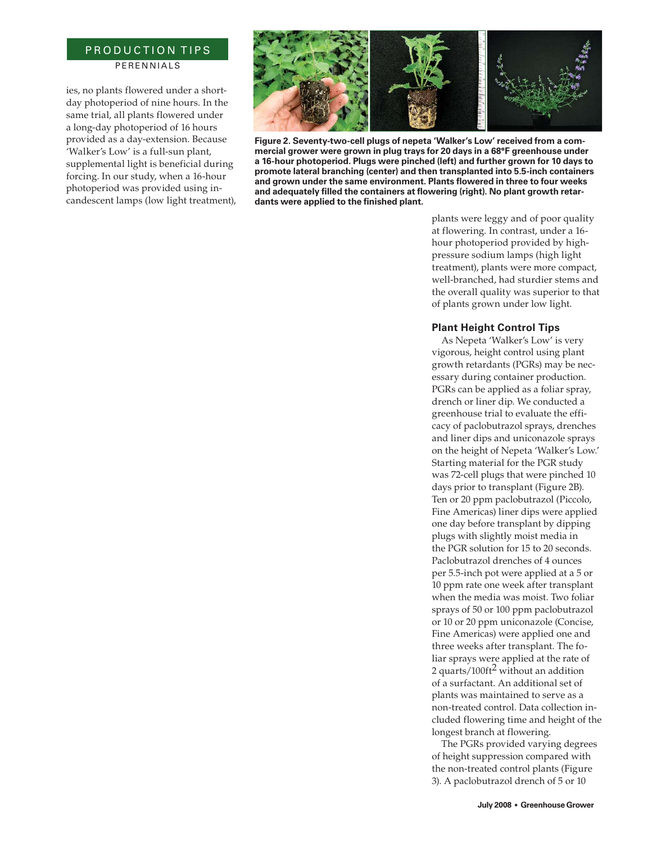## PRODUCTION TIPS **PERENNIALS**

ies, no plants flowered under a shortday photoperiod of nine hours. In the same trial, all plants flowered under a long-day photoperiod of 16 hours provided as a day-extension. Because 'Walker's Low' is a full-sun plant, supplemental light is beneficial during forcing. In our study, when a 16-hour photoperiod was provided using incandescent lamps (low light treatment),



**Figure 2. Seventy-two-cell plugs of nepeta 'Walker's Low' received from a commercial grower were grown in plug trays for 20 days in a 68°F greenhouse under a 16-hour photoperiod. Plugs were pinched (left) and further grown for 10 days to promote lateral branching (center) and then transplanted into 5.5-inch containers and grown under the same environment. Plants flowered in three to four weeks and adequately filled the containers at flowering (right). No plant growth retardants were applied to the finished plant.**

plants were leggy and of poor quality at flowering. In contrast, under a 16 hour photoperiod provided by highpressure sodium lamps (high light treatment), plants were more compact, well-branched, had sturdier stems and the overall quality was superior to that of plants grown under low light.

### **Plant Height Control Tips**

As Nepeta 'Walker's Low' is very vigorous, height control using plant growth retardants (PGRs) may be necessary during container production. PGRs can be applied as a foliar spray, drench or liner dip. We conducted a greenhouse trial to evaluate the efficacy of paclobutrazol sprays, drenches and liner dips and uniconazole sprays on the height of Nepeta 'Walker's Low.' Starting material for the PGR study was 72-cell plugs that were pinched 10 days prior to transplant (Figure 2B). Ten or 20 ppm paclobutrazol (Piccolo, Fine Americas) liner dips were applied one day before transplant by dipping plugs with slightly moist media in the PGR solution for 15 to 20 seconds. Paclobutrazol drenches of 4 ounces per 5.5-inch pot were applied at a 5 or 10 ppm rate one week after transplant when the media was moist. Two foliar sprays of 50 or 100 ppm paclobutrazol or 10 or 20 ppm uniconazole (Concise, Fine Americas) were applied one and three weeks after transplant. The foliar sprays were applied at the rate of 2 quarts/100ft2 without an addition of a surfactant. An additional set of plants was maintained to serve as a non-treated control. Data collection included flowering time and height of the longest branch at flowering.

The PGRs provided varying degrees of height suppression compared with the non-treated control plants (Figure 3). A paclobutrazol drench of 5 or 10